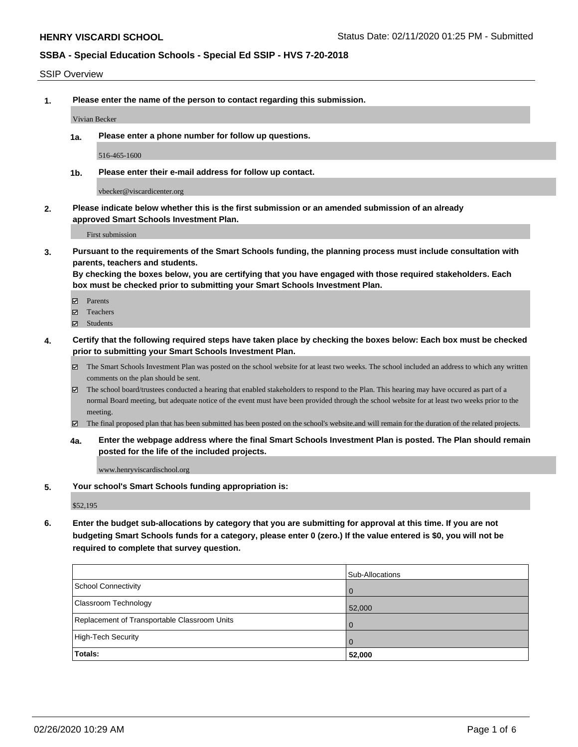#### SSIP Overview

**1. Please enter the name of the person to contact regarding this submission.**

Vivian Becker

**1a. Please enter a phone number for follow up questions.**

516-465-1600

**1b. Please enter their e-mail address for follow up contact.**

vbecker@viscardicenter.org

**2. Please indicate below whether this is the first submission or an amended submission of an already approved Smart Schools Investment Plan.**

First submission

**3. Pursuant to the requirements of the Smart Schools funding, the planning process must include consultation with parents, teachers and students.**

**By checking the boxes below, you are certifying that you have engaged with those required stakeholders. Each box must be checked prior to submitting your Smart Schools Investment Plan.**

- Parents
- Teachers
- Students
- **4. Certify that the following required steps have taken place by checking the boxes below: Each box must be checked prior to submitting your Smart Schools Investment Plan.**
	- The Smart Schools Investment Plan was posted on the school website for at least two weeks. The school included an address to which any written comments on the plan should be sent.
	- The school board/trustees conducted a hearing that enabled stakeholders to respond to the Plan. This hearing may have occured as part of a normal Board meeting, but adequate notice of the event must have been provided through the school website for at least two weeks prior to the meeting.
	- The final proposed plan that has been submitted has been posted on the school's website.and will remain for the duration of the related projects.
	- **4a. Enter the webpage address where the final Smart Schools Investment Plan is posted. The Plan should remain posted for the life of the included projects.**

www.henryviscardischool.org

**5. Your school's Smart Schools funding appropriation is:**

\$52,195

**6. Enter the budget sub-allocations by category that you are submitting for approval at this time. If you are not budgeting Smart Schools funds for a category, please enter 0 (zero.) If the value entered is \$0, you will not be required to complete that survey question.**

|                                              | Sub-Allocations |
|----------------------------------------------|-----------------|
| School Connectivity                          | $\overline{0}$  |
| Classroom Technology                         | 52,000          |
| Replacement of Transportable Classroom Units | $\overline{0}$  |
| High-Tech Security                           | $\overline{0}$  |
| Totals:                                      | 52,000          |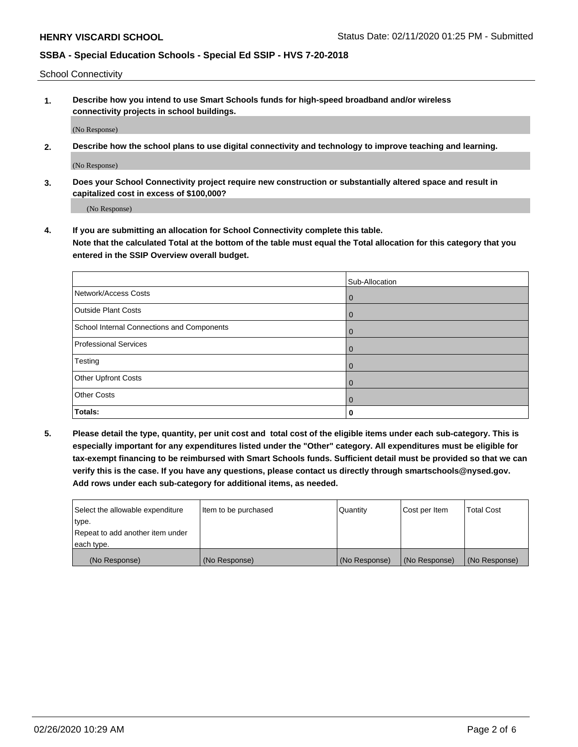School Connectivity

**1. Describe how you intend to use Smart Schools funds for high-speed broadband and/or wireless connectivity projects in school buildings.**

(No Response)

**2. Describe how the school plans to use digital connectivity and technology to improve teaching and learning.**

(No Response)

**3. Does your School Connectivity project require new construction or substantially altered space and result in capitalized cost in excess of \$100,000?**

(No Response)

**4. If you are submitting an allocation for School Connectivity complete this table. Note that the calculated Total at the bottom of the table must equal the Total allocation for this category that you entered in the SSIP Overview overall budget.** 

|                                            | Sub-Allocation |
|--------------------------------------------|----------------|
| Network/Access Costs                       | $\overline{0}$ |
| <b>Outside Plant Costs</b>                 | $\overline{0}$ |
| School Internal Connections and Components | $\mathbf 0$    |
| <b>Professional Services</b>               | $\Omega$       |
| Testing                                    | 0              |
| Other Upfront Costs                        | $\Omega$       |
| <b>Other Costs</b>                         | $\Omega$       |
| Totals:                                    | 0              |

**5. Please detail the type, quantity, per unit cost and total cost of the eligible items under each sub-category. This is especially important for any expenditures listed under the "Other" category. All expenditures must be eligible for tax-exempt financing to be reimbursed with Smart Schools funds. Sufficient detail must be provided so that we can verify this is the case. If you have any questions, please contact us directly through smartschools@nysed.gov. Add rows under each sub-category for additional items, as needed.**

| each type.<br>(No Response)      | (No Response)          | (No Response) | (No Response) | (No Response)     |
|----------------------------------|------------------------|---------------|---------------|-------------------|
|                                  |                        |               |               |                   |
| Repeat to add another item under |                        |               |               |                   |
| ∣type.                           |                        |               |               |                   |
| Select the allowable expenditure | I Item to be purchased | Quantity      | Cost per Item | <b>Total Cost</b> |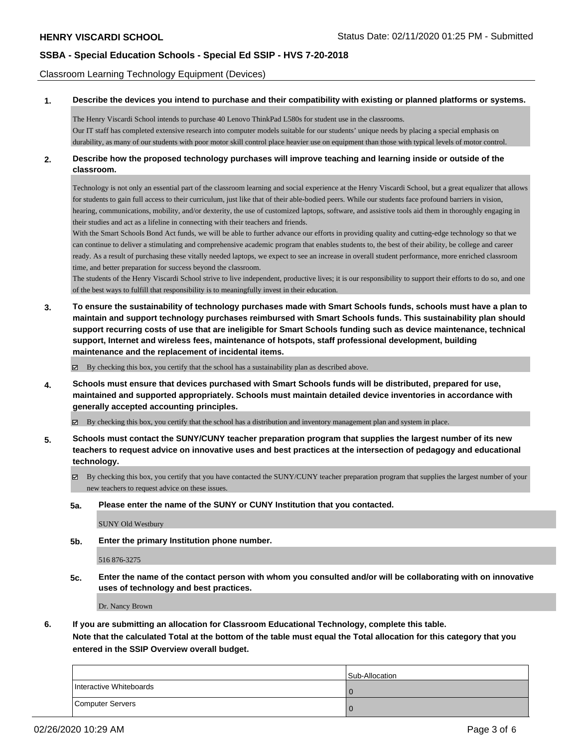Classroom Learning Technology Equipment (Devices)

### **1. Describe the devices you intend to purchase and their compatibility with existing or planned platforms or systems.**

The Henry Viscardi School intends to purchase 40 Lenovo ThinkPad L580s for student use in the classrooms. Our IT staff has completed extensive research into computer models suitable for our students' unique needs by placing a special emphasis on durability, as many of our students with poor motor skill control place heavier use on equipment than those with typical levels of motor control.

### **2. Describe how the proposed technology purchases will improve teaching and learning inside or outside of the classroom.**

Technology is not only an essential part of the classroom learning and social experience at the Henry Viscardi School, but a great equalizer that allows for students to gain full access to their curriculum, just like that of their able-bodied peers. While our students face profound barriers in vision, hearing, communications, mobility, and/or dexterity, the use of customized laptops, software, and assistive tools aid them in thoroughly engaging in their studies and act as a lifeline in connecting with their teachers and friends.

With the Smart Schools Bond Act funds, we will be able to further advance our efforts in providing quality and cutting-edge technology so that we can continue to deliver a stimulating and comprehensive academic program that enables students to, the best of their ability, be college and career ready. As a result of purchasing these vitally needed laptops, we expect to see an increase in overall student performance, more enriched classroom time, and better preparation for success beyond the classroom.

The students of the Henry Viscardi School strive to live independent, productive lives; it is our responsibility to support their efforts to do so, and one of the best ways to fulfill that responsibility is to meaningfully invest in their education.

**3. To ensure the sustainability of technology purchases made with Smart Schools funds, schools must have a plan to maintain and support technology purchases reimbursed with Smart Schools funds. This sustainability plan should support recurring costs of use that are ineligible for Smart Schools funding such as device maintenance, technical support, Internet and wireless fees, maintenance of hotspots, staff professional development, building maintenance and the replacement of incidental items.**

By checking this box, you certify that the school has a sustainability plan as described above.

**4. Schools must ensure that devices purchased with Smart Schools funds will be distributed, prepared for use, maintained and supported appropriately. Schools must maintain detailed device inventories in accordance with generally accepted accounting principles.**

By checking this box, you certify that the school has a distribution and inventory management plan and system in place.

- **5. Schools must contact the SUNY/CUNY teacher preparation program that supplies the largest number of its new teachers to request advice on innovative uses and best practices at the intersection of pedagogy and educational technology.**
	- By checking this box, you certify that you have contacted the SUNY/CUNY teacher preparation program that supplies the largest number of your new teachers to request advice on these issues.
	- **5a. Please enter the name of the SUNY or CUNY Institution that you contacted.**

SUNY Old Westbury

**5b. Enter the primary Institution phone number.**

516 876-3275

**5c. Enter the name of the contact person with whom you consulted and/or will be collaborating with on innovative uses of technology and best practices.**

Dr. Nancy Brown

**6. If you are submitting an allocation for Classroom Educational Technology, complete this table.**

**Note that the calculated Total at the bottom of the table must equal the Total allocation for this category that you entered in the SSIP Overview overall budget.**

|                         | <b>Sub-Allocation</b> |
|-------------------------|-----------------------|
| Interactive Whiteboards | -0                    |
| Computer Servers        | <b>O</b>              |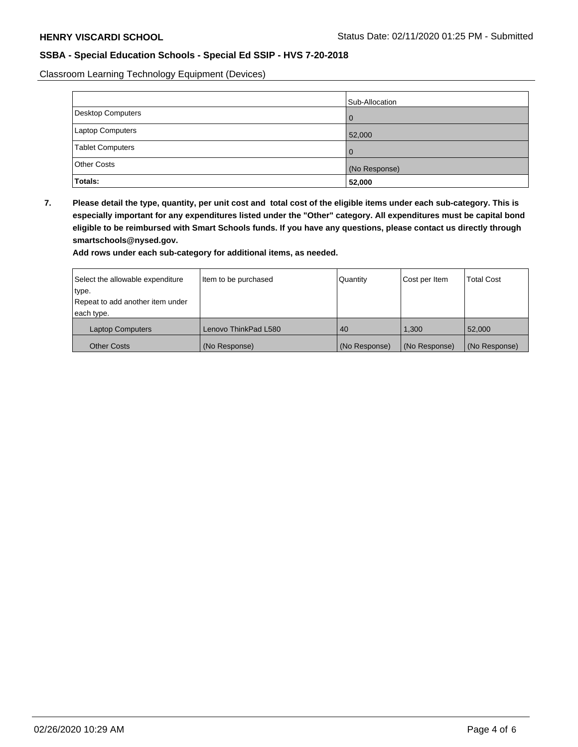Classroom Learning Technology Equipment (Devices)

|                         | Sub-Allocation |
|-------------------------|----------------|
| Desktop Computers       | l 0            |
| Laptop Computers        | 52,000         |
| <b>Tablet Computers</b> | l 0            |
| <b>Other Costs</b>      | (No Response)  |
| Totals:                 | 52,000         |

**7. Please detail the type, quantity, per unit cost and total cost of the eligible items under each sub-category. This is especially important for any expenditures listed under the "Other" category. All expenditures must be capital bond eligible to be reimbursed with Smart Schools funds. If you have any questions, please contact us directly through smartschools@nysed.gov.**

**Add rows under each sub-category for additional items, as needed.**

| Select the allowable expenditure | Item to be purchased | Quantity      | Cost per Item | <b>Total Cost</b> |
|----------------------------------|----------------------|---------------|---------------|-------------------|
| type.                            |                      |               |               |                   |
| Repeat to add another item under |                      |               |               |                   |
| each type.                       |                      |               |               |                   |
| <b>Laptop Computers</b>          | Lenovo ThinkPad L580 | 40            | 1.300         | 52,000            |
| <b>Other Costs</b>               | (No Response)        | (No Response) | (No Response) | (No Response)     |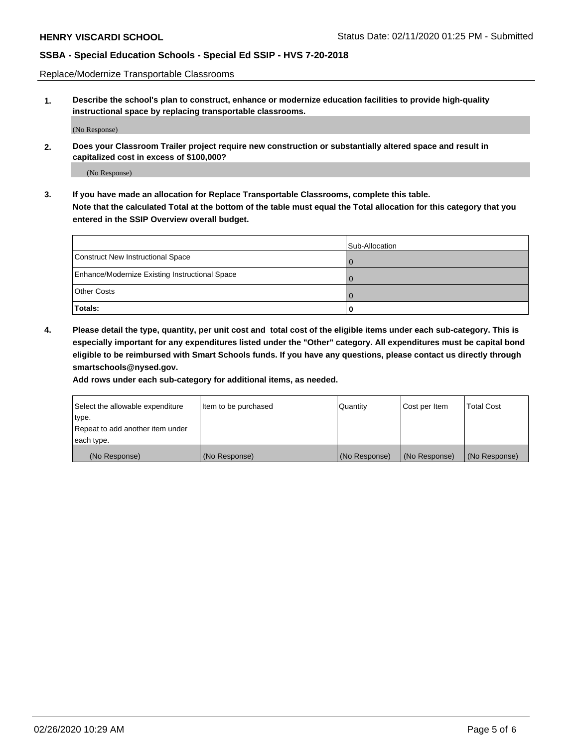Replace/Modernize Transportable Classrooms

**1. Describe the school's plan to construct, enhance or modernize education facilities to provide high-quality instructional space by replacing transportable classrooms.**

(No Response)

**2. Does your Classroom Trailer project require new construction or substantially altered space and result in capitalized cost in excess of \$100,000?**

(No Response)

**3. If you have made an allocation for Replace Transportable Classrooms, complete this table. Note that the calculated Total at the bottom of the table must equal the Total allocation for this category that you entered in the SSIP Overview overall budget.**

|                                                | Sub-Allocation |
|------------------------------------------------|----------------|
| Construct New Instructional Space              |                |
| Enhance/Modernize Existing Instructional Space |                |
| <b>Other Costs</b>                             | l O            |
| Totals:                                        |                |

**4. Please detail the type, quantity, per unit cost and total cost of the eligible items under each sub-category. This is especially important for any expenditures listed under the "Other" category. All expenditures must be capital bond eligible to be reimbursed with Smart Schools funds. If you have any questions, please contact us directly through smartschools@nysed.gov.**

**Add rows under each sub-category for additional items, as needed.**

| Select the allowable expenditure | lltem to be purchased | Quantity      | Cost per Item | <b>Total Cost</b> |
|----------------------------------|-----------------------|---------------|---------------|-------------------|
| type.                            |                       |               |               |                   |
| Repeat to add another item under |                       |               |               |                   |
| each type.                       |                       |               |               |                   |
| (No Response)                    | (No Response)         | (No Response) | (No Response) | (No Response)     |